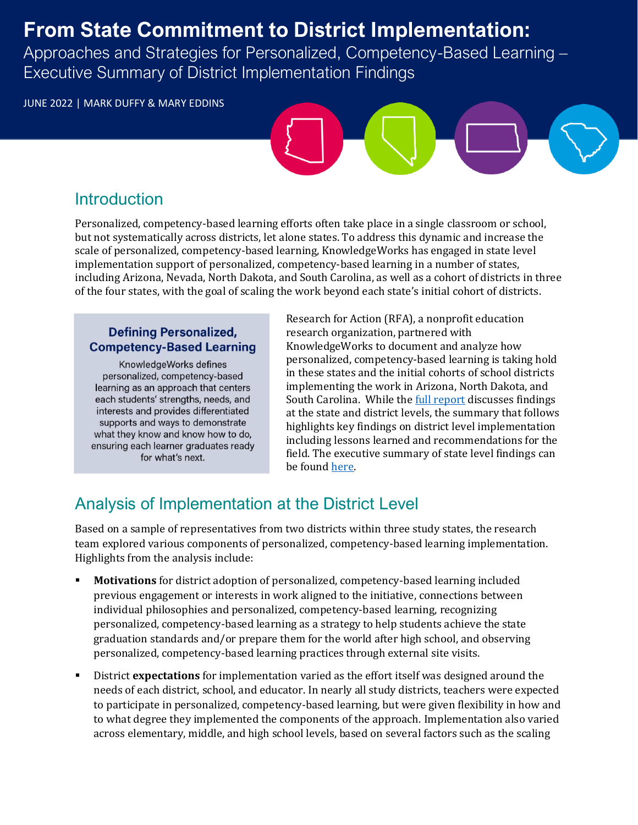## **From State Commitment to District Implementation:**

Approaches and Strategies for Personalized, Competency-Based Learning – Executive Summary of District Implementation Findings

JUNE 2022 | MARK DUFFY & MARY EDDINS

### **Introduction**

Personalized, competency-based learning efforts often take place in a single classroom or school, but not systematically across districts, let alone states. To address this dynamic and increase the scale of personalized, competency-based learning, KnowledgeWorks has engaged in state level implementation support of personalized, competency-based learning in a number of states, including Arizona, Nevada, North Dakota, and South Carolina, as well as a cohort of districts in three of the four states, with the goal of scaling the work beyond each state's initial cohort of districts.

#### **Defining Personalized, Competency-Based Learning**

KnowledgeWorks defines personalized, competency-based learning as an approach that centers each students' strengths, needs, and interests and provides differentiated supports and ways to demonstrate what they know and know how to do, ensuring each learner graduates ready for what's next.

Research for Action (RFA), a nonprofit education research organization, partnered with KnowledgeWorks to document and analyze how personalized, competency-based learning is taking hold in these states and the initial cohorts of school districts implementing the work in Arizona, North Dakota, and South Carolina. While the *full report* discusses findings at the state and district levels, the summary that follows highlights key findings on district level implementation including lessons learned and recommendations for the field. The executive summary of state level findings can be found [here.](http://researchforaction.org/kwstatelevel5)

## Analysis of Implementation at the District Level

Based on a sample of representatives from two districts within three study states, the research team explored various components of personalized, competency-based learning implementation. Highlights from the analysis include:

- **Motivations** for district adoption of personalized, competency-based learning included previous engagement or interests in work aligned to the initiative, connections between individual philosophies and personalized, competency-based learning, recognizing personalized, competency-based learning as a strategy to help students achieve the state graduation standards and/or prepare them for the world after high school, and observing personalized, competency-based learning practices through external site visits.
- District **expectations** for implementation varied as the effort itself was designed around the needs of each district, school, and educator. In nearly all study districts, teachers were expected to participate in personalized, competency-based learning, but were given flexibility in how and to what degree they implemented the components of the approach. Implementation also varied across elementary, middle, and high school levels, based on several factors such as the scaling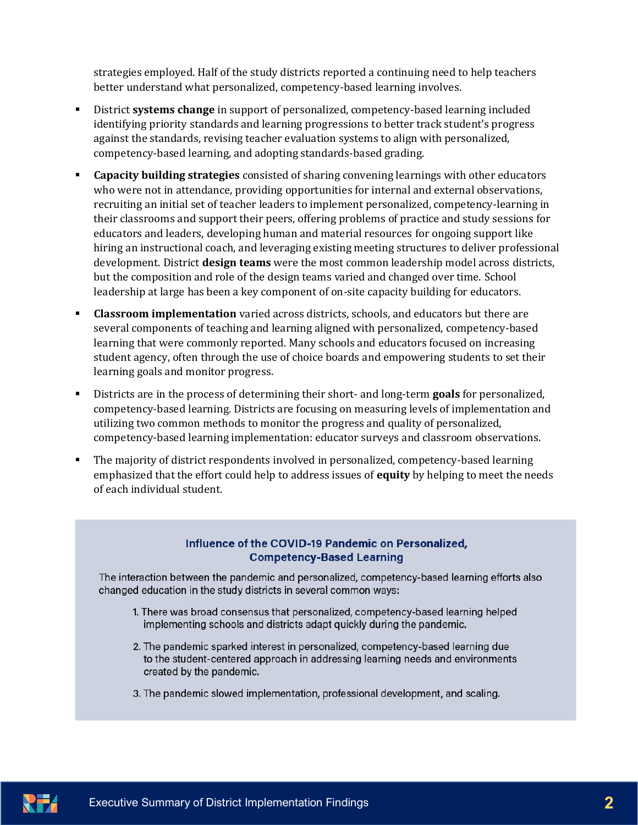strategies employed. Half of the study districts reported a continuing need to help teachers better understand what personalized, competency-based learning involves.

- District **systems change** in support of personalized, competency-based learning included identifying priority standards and learning progressions to better track student's progress against the standards, revising teacher evaluation systems to align with personalized, competency-based learning, and adopting standards-based grading.
- **Capacity building strategies** consisted of sharing convening learnings with other educators who were not in attendance, providing opportunities for internal and external observations, recruiting an initial set of teacher leaders to implement personalized, competency-learning in their classrooms and support their peers, offering problems of practice and study sessions for educators and leaders, developing human and material resources for ongoing support like hiring an instructional coach, and leveraging existing meeting structures to deliver professional development. District **design teams** were the most common leadership model across districts, but the composition and role of the design teams varied and changed over time. School leadership at large has been a key component of on-site capacity building for educators.
- **EXECUTE:** Classroom implementation varied across districts, schools, and educators but there are several components of teaching and learning aligned with personalized, competency-based learning that were commonly reported. Many schools and educators focused on increasing student agency, often through the use of choice boards and empowering students to set their learning goals and monitor progress.
- Districts are in the process of determining their short- and long-term **goals** for personalized, competency-based learning. Districts are focusing on measuring levels of implementation and utilizing two common methods to monitor the progress and quality of personalized, competency-based learning implementation: educator surveys and classroom observations.
- The majority of district respondents involved in personalized, competency-based learning emphasized that the effort could help to address issues of **equity** by helping to meet the needs of each individual student.

#### Influence of the COVID-19 Pandemic on Personalized, **Competency-Based Learning**

The interaction between the pandemic and personalized, competency-based learning efforts also changed education in the study districts in several common ways:

- 1. There was broad consensus that personalized, competency-based learning helped implementing schools and districts adapt quickly during the pandemic.
- 2. The pandemic sparked interest in personalized, competency-based learning due to the student-centered approach in addressing learning needs and environments created by the pandemic.
- 3. The pandemic slowed implementation, professional development, and scaling.

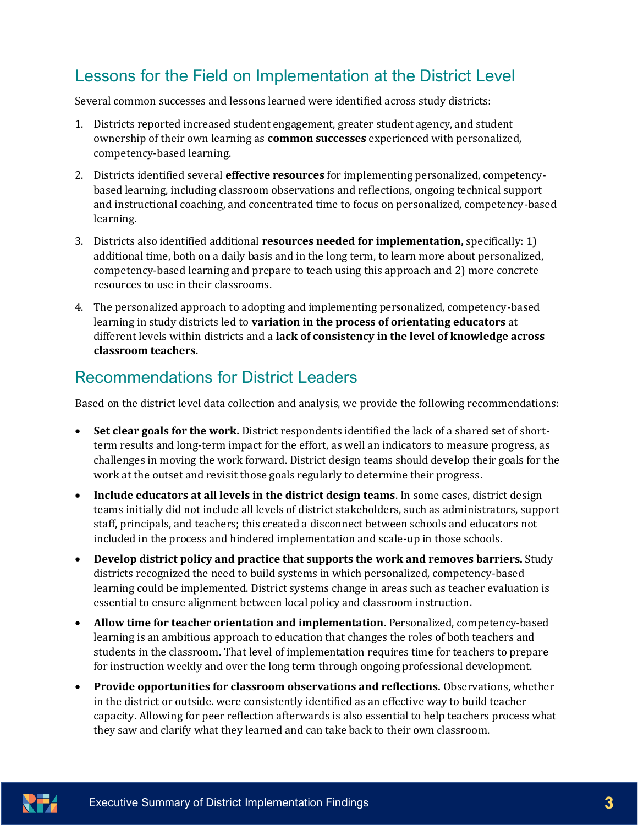## Lessons for the Field on Implementation at the District Level

Several common successes and lessons learned were identified across study districts:

- 1. Districts reported increased student engagement, greater student agency, and student ownership of their own learning as **common successes** experienced with personalized, competency-based learning.
- 2. Districts identified several **effective resources** for implementing personalized, competencybased learning, including classroom observations and reflections, ongoing technical support and instructional coaching, and concentrated time to focus on personalized, competency-based learning.
- 3. Districts also identified additional **resources needed for implementation,** specifically: 1) additional time, both on a daily basis and in the long term, to learn more about personalized, competency-based learning and prepare to teach using this approach and 2) more concrete resources to use in their classrooms.
- 4. The personalized approach to adopting and implementing personalized, competency-based learning in study districts led to **variation in the process of orientating educators** at different levels within districts and a **lack of consistency in the level of knowledge across classroom teachers.**

## Recommendations for District Leaders

Based on the district level data collection and analysis, we provide the following recommendations:

- **Set clear goals for the work.** District respondents identified the lack of a shared set of shortterm results and long-term impact for the effort, as well an indicators to measure progress, as challenges in moving the work forward. District design teams should develop their goals for the work at the outset and revisit those goals regularly to determine their progress.
- **Include educators at all levels in the district design teams**. In some cases, district design teams initially did not include all levels of district stakeholders, such as administrators, support staff, principals, and teachers; this created a disconnect between schools and educators not included in the process and hindered implementation and scale-up in those schools.
- **Develop district policy and practice that supports the work and removes barriers.** Study districts recognized the need to build systems in which personalized, competency-based learning could be implemented. District systems change in areas such as teacher evaluation is essential to ensure alignment between local policy and classroom instruction.
- **Allow time for teacher orientation and implementation**. Personalized, competency-based learning is an ambitious approach to education that changes the roles of both teachers and students in the classroom. That level of implementation requires time for teachers to prepare for instruction weekly and over the long term through ongoing professional development.
- **Provide opportunities for classroom observations and reflections.** Observations, whether in the district or outside. were consistently identified as an effective way to build teacher capacity. Allowing for peer reflection afterwards is also essential to help teachers process what they saw and clarify what they learned and can take back to their own classroom.